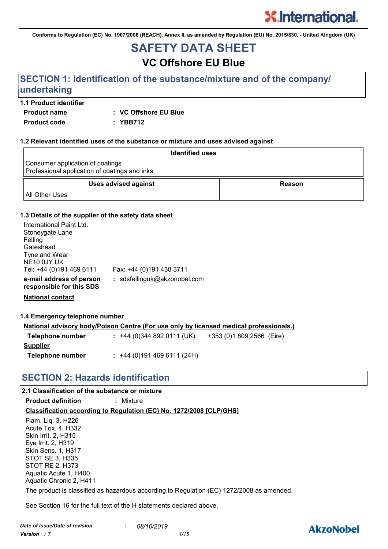**Conforms to Regulation (EC) No. 1907/2006 (REACH), Annex II, as amended by Regulation (EU) No. 2015/830. - United Kingdom (UK)**

# **SAFETY DATA SHEET**

# **VC Offshore EU Blue**

# **SECTION 1: Identification of the substance/mixture and of the company/ undertaking**

#### **1.1 Product identifier**

**Product name : VC Offshore EU Blue**

**Product code : YBB712**

#### **1.2 Relevant identified uses of the substance or mixture and uses advised against**

| <b>Identified uses</b>                                                            |        |
|-----------------------------------------------------------------------------------|--------|
| Consumer application of coatings<br>Professional application of coatings and inks |        |
| <b>Uses advised against</b>                                                       | Reason |
| <b>All Other Uses</b>                                                             |        |

#### **1.3 Details of the supplier of the safety data sheet**

| International Paint Ltd.<br>Stoneygate Lane<br>Felling<br>Gateshead<br>Tyne and Wear<br>NE <sub>10</sub> 0JY UK<br>Tel: +44 (0)191 469 6111 | Fax: +44 (0)191 438 3711     |
|---------------------------------------------------------------------------------------------------------------------------------------------|------------------------------|
| e-mail address of person<br>responsible for this SDS                                                                                        | : sdsfellinguk@akzonobel.com |

**National contact**

#### **1.4 Emergency telephone number**

|                  | <u>National advisory body/Poison Centre (For use only by licensed medical professionals.)</u> |  |
|------------------|-----------------------------------------------------------------------------------------------|--|
| Telephone number | $: +44(0)3448920111(UK)$<br>+353 (0)1 809 2566 (Eire)                                         |  |
| <u>Supplier</u>  |                                                                                               |  |
| Telephone number | $: +44(0)1914696111(24H)$                                                                     |  |

### **SECTION 2: Hazards identification**

### **2.1 Classification of the substance or mixture**

**Product definition :** Mixture

#### **Classification according to Regulation (EC) No. 1272/2008 [CLP/GHS]**

Flam. Liq. 3, H226 Acute Tox. 4, H332 Skin Irrit. 2, H315 Eye Irrit. 2, H319 Skin Sens. 1, H317 STOT SE 3, H335 STOT RE 2, H373 Aquatic Acute 1, H400 Aquatic Chronic 2, H411

The product is classified as hazardous according to Regulation (EC) 1272/2008 as amended.

See Section 16 for the full text of the H statements declared above.

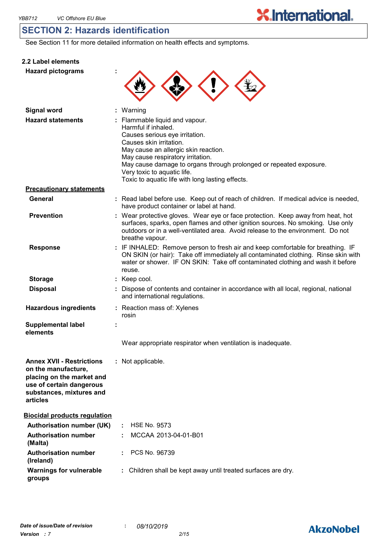## **SECTION 2: Hazards identification**

See Section 11 for more detailed information on health effects and symptoms.

|  | 2.2 Label elements |  |
|--|--------------------|--|

**Hazard pictograms :**



| <b>Signal word</b>                                                                                                                                       | : Warning                                                                                                                                                                                                                                                                                                                                                |
|----------------------------------------------------------------------------------------------------------------------------------------------------------|----------------------------------------------------------------------------------------------------------------------------------------------------------------------------------------------------------------------------------------------------------------------------------------------------------------------------------------------------------|
| <b>Hazard statements</b>                                                                                                                                 | : Flammable liquid and vapour.<br>Harmful if inhaled.<br>Causes serious eye irritation.<br>Causes skin irritation.<br>May cause an allergic skin reaction.<br>May cause respiratory irritation.<br>May cause damage to organs through prolonged or repeated exposure.<br>Very toxic to aquatic life.<br>Toxic to aquatic life with long lasting effects. |
| <b>Precautionary statements</b>                                                                                                                          |                                                                                                                                                                                                                                                                                                                                                          |
| General                                                                                                                                                  | : Read label before use. Keep out of reach of children. If medical advice is needed,<br>have product container or label at hand.                                                                                                                                                                                                                         |
| <b>Prevention</b>                                                                                                                                        | : Wear protective gloves. Wear eye or face protection. Keep away from heat, hot<br>surfaces, sparks, open flames and other ignition sources. No smoking. Use only<br>outdoors or in a well-ventilated area. Avoid release to the environment. Do not<br>breathe vapour.                                                                                  |
| <b>Response</b>                                                                                                                                          | : IF INHALED: Remove person to fresh air and keep comfortable for breathing. IF<br>ON SKIN (or hair): Take off immediately all contaminated clothing. Rinse skin with<br>water or shower. IF ON SKIN: Take off contaminated clothing and wash it before<br>reuse.                                                                                        |
| <b>Storage</b>                                                                                                                                           | : Keep cool.                                                                                                                                                                                                                                                                                                                                             |
| <b>Disposal</b>                                                                                                                                          | Dispose of contents and container in accordance with all local, regional, national<br>and international regulations.                                                                                                                                                                                                                                     |
| <b>Hazardous ingredients</b>                                                                                                                             | : Reaction mass of: Xylenes<br>rosin                                                                                                                                                                                                                                                                                                                     |
| <b>Supplemental label</b><br>elements                                                                                                                    |                                                                                                                                                                                                                                                                                                                                                          |
|                                                                                                                                                          | Wear appropriate respirator when ventilation is inadequate.                                                                                                                                                                                                                                                                                              |
| <b>Annex XVII - Restrictions</b><br>on the manufacture,<br>placing on the market and<br>use of certain dangerous<br>substances, mixtures and<br>articles | : Not applicable.                                                                                                                                                                                                                                                                                                                                        |
| <b>Biocidal products regulation</b>                                                                                                                      |                                                                                                                                                                                                                                                                                                                                                          |
| <b>Authorisation number (UK)</b>                                                                                                                         | <b>HSE No. 9573</b><br>÷.                                                                                                                                                                                                                                                                                                                                |
| <b>Authorisation number</b><br>(Malta)                                                                                                                   | MCCAA 2013-04-01-B01                                                                                                                                                                                                                                                                                                                                     |
| <b>Authorisation number</b><br>(Ireland)                                                                                                                 | PCS No. 96739                                                                                                                                                                                                                                                                                                                                            |
| <b>Warnings for vulnerable</b><br>groups                                                                                                                 | : Children shall be kept away until treated surfaces are dry.                                                                                                                                                                                                                                                                                            |

# **AkzoNobel**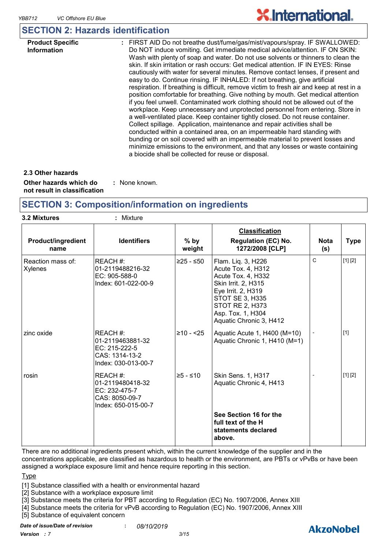# **SECTION 2: Hazards identification**

| <b>Product Specific</b><br><b>Information</b> | : FIRST AID Do not breathe dust/fume/gas/mist/vapours/spray. IF SWALLOWED:<br>Do NOT induce vomiting. Get immediate medical advice/attention. IF ON SKIN:<br>Wash with plenty of soap and water. Do not use solvents or thinners to clean the<br>skin. If skin irritation or rash occurs: Get medical attention. IF IN EYES: Rinse<br>cautiously with water for several minutes. Remove contact lenses, if present and<br>easy to do. Continue rinsing. IF INHALED: If not breathing, give artificial<br>respiration. If breathing is difficult, remove victim to fresh air and keep at rest in a<br>position comfortable for breathing. Give nothing by mouth. Get medical attention<br>if you feel unwell. Contaminated work clothing should not be allowed out of the<br>workplace. Keep unnecessary and unprotected personnel from entering. Store in<br>a well-ventilated place. Keep container tightly closed. Do not reuse container.<br>Collect spillage. Application, maintenance and repair activities shall be<br>conducted within a contained area, on an impermeable hard standing with<br>bunding or on soil covered with an impermeable material to prevent losses and<br>minimize emissions to the environment, and that any losses or waste containing<br>a biocide shall be collected for reuse or disposal. |
|-----------------------------------------------|--------------------------------------------------------------------------------------------------------------------------------------------------------------------------------------------------------------------------------------------------------------------------------------------------------------------------------------------------------------------------------------------------------------------------------------------------------------------------------------------------------------------------------------------------------------------------------------------------------------------------------------------------------------------------------------------------------------------------------------------------------------------------------------------------------------------------------------------------------------------------------------------------------------------------------------------------------------------------------------------------------------------------------------------------------------------------------------------------------------------------------------------------------------------------------------------------------------------------------------------------------------------------------------------------------------------------------|
|                                               |                                                                                                                                                                                                                                                                                                                                                                                                                                                                                                                                                                                                                                                                                                                                                                                                                                                                                                                                                                                                                                                                                                                                                                                                                                                                                                                                |

**Other hazards which do : not result in classification** : None known. **2.3 Other hazards**

### **SECTION 3: Composition/information on ingredients**

| <b>Product/ingredient</b><br>name   | <b>Identifiers</b>                                                                     | $%$ by<br>weight | <b>Classification</b><br><b>Regulation (EC) No.</b><br>1272/2008 [CLP]                                                                                                                                   | <b>Nota</b><br>(s) | <b>Type</b> |
|-------------------------------------|----------------------------------------------------------------------------------------|------------------|----------------------------------------------------------------------------------------------------------------------------------------------------------------------------------------------------------|--------------------|-------------|
| Reaction mass of:<br><b>Xylenes</b> | REACH #:<br>01-2119488216-32<br>EC: 905-588-0<br>Index: 601-022-00-9                   | $≥25 - ≤50$      | Flam. Liq. 3, H226<br>Acute Tox. 4, H312<br>Acute Tox. 4, H332<br>Skin Irrit. 2, H315<br>Eye Irrit. 2, H319<br>STOT SE 3, H335<br><b>STOT RE 2, H373</b><br>Asp. Tox. 1, H304<br>Aquatic Chronic 3, H412 | $\mathsf{C}$       | [1] [2]     |
| zinc oxide                          | REACH #:<br>01-2119463881-32<br>EC: 215-222-5<br>CAS: 1314-13-2<br>Index: 030-013-00-7 | $≥10 - 25$       | Aquatic Acute 1, H400 (M=10)<br>Aquatic Chronic 1, H410 (M=1)                                                                                                                                            |                    | $[1]$       |
| rosin                               | REACH #:<br>01-2119480418-32<br>EC: 232-475-7<br>CAS: 8050-09-7<br>Index: 650-015-00-7 | $≥5 - ≤10$       | Skin Sens. 1, H317<br>Aquatic Chronic 4, H413                                                                                                                                                            |                    | [1] [2]     |
|                                     |                                                                                        |                  | See Section 16 for the<br>full text of the H<br>statements declared<br>above.                                                                                                                            |                    |             |

There are no additional ingredients present which, within the current knowledge of the supplier and in the concentrations applicable, are classified as hazardous to health or the environment, are PBTs or vPvBs or have been assigned a workplace exposure limit and hence require reporting in this section.

#### **Type**

[1] Substance classified with a health or environmental hazard

[2] Substance with a workplace exposure limit

[3] Substance meets the criteria for PBT according to Regulation (EC) No. 1907/2006, Annex XIII

[4] Substance meets the criteria for vPvB according to Regulation (EC) No. 1907/2006, Annex XIII

[5] Substance of equivalent concern

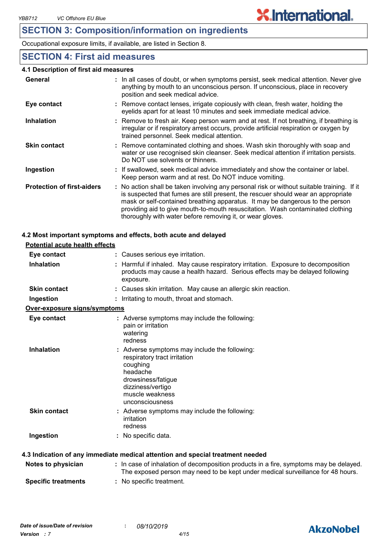Occupational exposure limits, if available, are listed in Section 8.

### **SECTION 4: First aid measures**

#### **4.1 Description of first aid measures**

| General                           | : In all cases of doubt, or when symptoms persist, seek medical attention. Never give<br>anything by mouth to an unconscious person. If unconscious, place in recovery<br>position and seek medical advice.                                                                                                                                                                                                     |
|-----------------------------------|-----------------------------------------------------------------------------------------------------------------------------------------------------------------------------------------------------------------------------------------------------------------------------------------------------------------------------------------------------------------------------------------------------------------|
| Eye contact                       | : Remove contact lenses, irrigate copiously with clean, fresh water, holding the<br>eyelids apart for at least 10 minutes and seek immediate medical advice.                                                                                                                                                                                                                                                    |
| <b>Inhalation</b>                 | : Remove to fresh air. Keep person warm and at rest. If not breathing, if breathing is<br>irregular or if respiratory arrest occurs, provide artificial respiration or oxygen by<br>trained personnel. Seek medical attention.                                                                                                                                                                                  |
| <b>Skin contact</b>               | : Remove contaminated clothing and shoes. Wash skin thoroughly with soap and<br>water or use recognised skin cleanser. Seek medical attention if irritation persists.<br>Do NOT use solvents or thinners.                                                                                                                                                                                                       |
| Ingestion                         | : If swallowed, seek medical advice immediately and show the container or label.<br>Keep person warm and at rest. Do NOT induce vomiting.                                                                                                                                                                                                                                                                       |
| <b>Protection of first-aiders</b> | : No action shall be taken involving any personal risk or without suitable training. If it<br>is suspected that fumes are still present, the rescuer should wear an appropriate<br>mask or self-contained breathing apparatus. It may be dangerous to the person<br>providing aid to give mouth-to-mouth resuscitation. Wash contaminated clothing<br>thoroughly with water before removing it, or wear gloves. |

#### **4.2 Most important symptoms and effects, both acute and delayed**

| <b>Potential acute health effects</b> |                                                                                                                                                                                        |
|---------------------------------------|----------------------------------------------------------------------------------------------------------------------------------------------------------------------------------------|
| Eye contact                           | : Causes serious eye irritation.                                                                                                                                                       |
| <b>Inhalation</b>                     | : Harmful if inhaled. May cause respiratory irritation. Exposure to decomposition<br>products may cause a health hazard. Serious effects may be delayed following<br>exposure.         |
| <b>Skin contact</b>                   | : Causes skin irritation. May cause an allergic skin reaction.                                                                                                                         |
| Ingestion                             | : Irritating to mouth, throat and stomach.                                                                                                                                             |
| Over-exposure signs/symptoms          |                                                                                                                                                                                        |
| Eye contact                           | : Adverse symptoms may include the following:<br>pain or irritation<br>watering<br>redness                                                                                             |
| <b>Inhalation</b>                     | : Adverse symptoms may include the following:<br>respiratory tract irritation<br>coughing<br>headache<br>drowsiness/fatigue<br>dizziness/vertigo<br>muscle weakness<br>unconsciousness |
| <b>Skin contact</b>                   | : Adverse symptoms may include the following:<br>irritation<br>redness                                                                                                                 |
| Ingestion                             | : No specific data.                                                                                                                                                                    |
|                                       | 4.3 Indication of any immediate medical attention and special treatment needed                                                                                                         |
| Notes to physician                    | : In case of inhalation of decomposition products in a fire, symptoms may be delayed.<br>The exposed person may need to be kept under medical surveillance for 48 hours.               |

**Specific treatments :** No specific treatment.



**X.International.**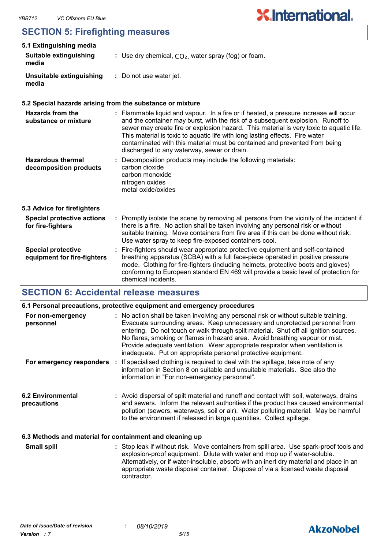## **SECTION 5: Firefighting measures**

| 5.1 Extinguishing media                                  |                                                                                                                                                                                                                                                                                                                                                                                                                                                                                  |
|----------------------------------------------------------|----------------------------------------------------------------------------------------------------------------------------------------------------------------------------------------------------------------------------------------------------------------------------------------------------------------------------------------------------------------------------------------------------------------------------------------------------------------------------------|
| Suitable extinguishing<br>media                          | : Use dry chemical, $CO2$ , water spray (fog) or foam.                                                                                                                                                                                                                                                                                                                                                                                                                           |
| Unsuitable extinguishing<br>media                        | : Do not use water jet.                                                                                                                                                                                                                                                                                                                                                                                                                                                          |
|                                                          | 5.2 Special hazards arising from the substance or mixture                                                                                                                                                                                                                                                                                                                                                                                                                        |
| <b>Hazards from the</b><br>substance or mixture          | : Flammable liquid and vapour. In a fire or if heated, a pressure increase will occur<br>and the container may burst, with the risk of a subsequent explosion. Runoff to<br>sewer may create fire or explosion hazard. This material is very toxic to aquatic life.<br>This material is toxic to aquatic life with long lasting effects. Fire water<br>contaminated with this material must be contained and prevented from being<br>discharged to any waterway, sewer or drain. |
| <b>Hazardous thermal</b><br>decomposition products       | : Decomposition products may include the following materials:<br>carbon dioxide<br>carbon monoxide<br>nitrogen oxides<br>metal oxide/oxides                                                                                                                                                                                                                                                                                                                                      |
| 5.3 Advice for firefighters                              |                                                                                                                                                                                                                                                                                                                                                                                                                                                                                  |
| <b>Special protective actions</b><br>for fire-fighters   | : Promptly isolate the scene by removing all persons from the vicinity of the incident if<br>there is a fire. No action shall be taken involving any personal risk or without<br>suitable training. Move containers from fire area if this can be done without risk.<br>Use water spray to keep fire-exposed containers cool.                                                                                                                                                    |
| <b>Special protective</b><br>equipment for fire-fighters | : Fire-fighters should wear appropriate protective equipment and self-contained<br>breathing apparatus (SCBA) with a full face-piece operated in positive pressure<br>mode. Clothing for fire-fighters (including helmets, protective boots and gloves)<br>conforming to European standard EN 469 will provide a basic level of protection for<br>chemical incidents.                                                                                                            |

## **SECTION 6: Accidental release measures**

|                                                          | 6.1 Personal precautions, protective equipment and emergency procedures                                                                                                                                                                                                                                                                                                                                                                                                                        |
|----------------------------------------------------------|------------------------------------------------------------------------------------------------------------------------------------------------------------------------------------------------------------------------------------------------------------------------------------------------------------------------------------------------------------------------------------------------------------------------------------------------------------------------------------------------|
| For non-emergency<br>personnel                           | : No action shall be taken involving any personal risk or without suitable training.<br>Evacuate surrounding areas. Keep unnecessary and unprotected personnel from<br>entering. Do not touch or walk through spilt material. Shut off all ignition sources.<br>No flares, smoking or flames in hazard area. Avoid breathing vapour or mist.<br>Provide adequate ventilation. Wear appropriate respirator when ventilation is<br>inadequate. Put on appropriate personal protective equipment. |
| For emergency responders                                 | : If specialised clothing is required to deal with the spillage, take note of any<br>information in Section 8 on suitable and unsuitable materials. See also the<br>information in "For non-emergency personnel".                                                                                                                                                                                                                                                                              |
| <b>6.2 Environmental</b><br>precautions                  | : Avoid dispersal of spilt material and runoff and contact with soil, waterways, drains<br>and sewers. Inform the relevant authorities if the product has caused environmental<br>pollution (sewers, waterways, soil or air). Water polluting material. May be harmful<br>to the environment if released in large quantities. Collect spillage.                                                                                                                                                |
| 6.3 Methods and material for containment and cleaning up |                                                                                                                                                                                                                                                                                                                                                                                                                                                                                                |
|                                                          |                                                                                                                                                                                                                                                                                                                                                                                                                                                                                                |

Stop leak if without risk. Move containers from spill area. Use spark-proof tools and explosion-proof equipment. Dilute with water and mop up if water-soluble. Alternatively, or if water-insoluble, absorb with an inert dry material and place in an appropriate waste disposal container. Dispose of via a licensed waste disposal contractor. **Small spill :**

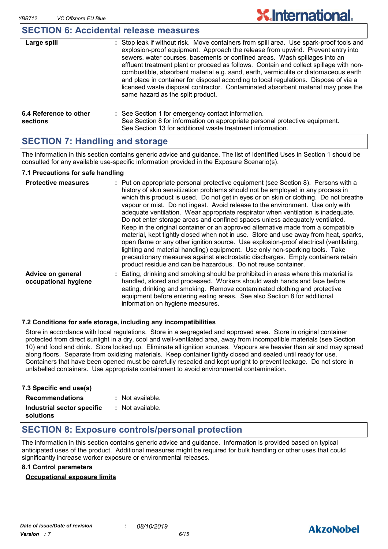### **SECTION 6: Accidental release measures**

| Large spill                        | : Stop leak if without risk. Move containers from spill area. Use spark-proof tools and<br>explosion-proof equipment. Approach the release from upwind. Prevent entry into<br>sewers, water courses, basements or confined areas. Wash spillages into an<br>effluent treatment plant or proceed as follows. Contain and collect spillage with non-<br>combustible, absorbent material e.g. sand, earth, vermiculite or diatomaceous earth<br>and place in container for disposal according to local regulations. Dispose of via a<br>licensed waste disposal contractor. Contaminated absorbent material may pose the<br>same hazard as the spilt product. |
|------------------------------------|------------------------------------------------------------------------------------------------------------------------------------------------------------------------------------------------------------------------------------------------------------------------------------------------------------------------------------------------------------------------------------------------------------------------------------------------------------------------------------------------------------------------------------------------------------------------------------------------------------------------------------------------------------|
| 6.4 Reference to other<br>sections | : See Section 1 for emergency contact information.<br>See Section 8 for information on appropriate personal protective equipment.<br>See Section 13 for additional waste treatment information.                                                                                                                                                                                                                                                                                                                                                                                                                                                            |

### **SECTION 7: Handling and storage**

The information in this section contains generic advice and guidance. The list of Identified Uses in Section 1 should be consulted for any available use-specific information provided in the Exposure Scenario(s).

#### **7.1 Precautions for safe handling**

| <b>Protective measures</b>                | : Put on appropriate personal protective equipment (see Section 8). Persons with a<br>history of skin sensitization problems should not be employed in any process in<br>which this product is used. Do not get in eyes or on skin or clothing. Do not breathe<br>vapour or mist. Do not ingest. Avoid release to the environment. Use only with<br>adequate ventilation. Wear appropriate respirator when ventilation is inadequate.<br>Do not enter storage areas and confined spaces unless adequately ventilated.<br>Keep in the original container or an approved alternative made from a compatible<br>material, kept tightly closed when not in use. Store and use away from heat, sparks,<br>open flame or any other ignition source. Use explosion-proof electrical (ventilating,<br>lighting and material handling) equipment. Use only non-sparking tools. Take<br>precautionary measures against electrostatic discharges. Empty containers retain<br>product residue and can be hazardous. Do not reuse container. |
|-------------------------------------------|---------------------------------------------------------------------------------------------------------------------------------------------------------------------------------------------------------------------------------------------------------------------------------------------------------------------------------------------------------------------------------------------------------------------------------------------------------------------------------------------------------------------------------------------------------------------------------------------------------------------------------------------------------------------------------------------------------------------------------------------------------------------------------------------------------------------------------------------------------------------------------------------------------------------------------------------------------------------------------------------------------------------------------|
| Advice on general<br>occupational hygiene | : Eating, drinking and smoking should be prohibited in areas where this material is<br>handled, stored and processed. Workers should wash hands and face before<br>eating, drinking and smoking. Remove contaminated clothing and protective<br>equipment before entering eating areas. See also Section 8 for additional<br>information on hygiene measures.                                                                                                                                                                                                                                                                                                                                                                                                                                                                                                                                                                                                                                                                   |

#### **7.2 Conditions for safe storage, including any incompatibilities**

Store in accordance with local regulations. Store in a segregated and approved area. Store in original container protected from direct sunlight in a dry, cool and well-ventilated area, away from incompatible materials (see Section 10) and food and drink. Store locked up. Eliminate all ignition sources. Vapours are heavier than air and may spread along floors. Separate from oxidizing materials. Keep container tightly closed and sealed until ready for use. Containers that have been opened must be carefully resealed and kept upright to prevent leakage. Do not store in unlabelled containers. Use appropriate containment to avoid environmental contamination.

| 7.3 Specific end use(s)                 |                  |
|-----------------------------------------|------------------|
| <b>Recommendations</b>                  | : Not available. |
| Industrial sector specific<br>solutions | : Not available. |

### **SECTION 8: Exposure controls/personal protection**

The information in this section contains generic advice and guidance. Information is provided based on typical anticipated uses of the product. Additional measures might be required for bulk handling or other uses that could significantly increase worker exposure or environmental releases.

#### **8.1 Control parameters**

#### **Occupational exposure limits**



# **AkzoNobel**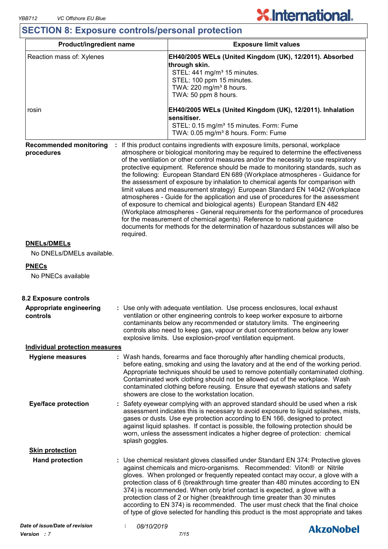# **SECTION 8: Exposure controls/personal protection**

| Product/ingredient name                     |                                                                                                                                                                                                                                                                                                                                                                                          | <b>Exposure limit values</b>                                                                                                                                                                                                                                                                                                                                                                                                                                                                                                                                                                                                                                                                                                                                                                                                                                                                                                                                                                                          |  |  |
|---------------------------------------------|------------------------------------------------------------------------------------------------------------------------------------------------------------------------------------------------------------------------------------------------------------------------------------------------------------------------------------------------------------------------------------------|-----------------------------------------------------------------------------------------------------------------------------------------------------------------------------------------------------------------------------------------------------------------------------------------------------------------------------------------------------------------------------------------------------------------------------------------------------------------------------------------------------------------------------------------------------------------------------------------------------------------------------------------------------------------------------------------------------------------------------------------------------------------------------------------------------------------------------------------------------------------------------------------------------------------------------------------------------------------------------------------------------------------------|--|--|
| Reaction mass of: Xylenes                   |                                                                                                                                                                                                                                                                                                                                                                                          | EH40/2005 WELs (United Kingdom (UK), 12/2011). Absorbed<br>through skin.<br>STEL: 441 mg/m <sup>3</sup> 15 minutes.<br>STEL: 100 ppm 15 minutes.<br>TWA: 220 mg/m <sup>3</sup> 8 hours.<br>TWA: 50 ppm 8 hours.                                                                                                                                                                                                                                                                                                                                                                                                                                                                                                                                                                                                                                                                                                                                                                                                       |  |  |
| rosin                                       |                                                                                                                                                                                                                                                                                                                                                                                          | EH40/2005 WELs (United Kingdom (UK), 12/2011). Inhalation<br>sensitiser.<br>STEL: 0.15 mg/m <sup>3</sup> 15 minutes. Form: Fume<br>TWA: 0.05 mg/m <sup>3</sup> 8 hours. Form: Fume                                                                                                                                                                                                                                                                                                                                                                                                                                                                                                                                                                                                                                                                                                                                                                                                                                    |  |  |
| <b>Recommended monitoring</b><br>procedures | required.                                                                                                                                                                                                                                                                                                                                                                                | : If this product contains ingredients with exposure limits, personal, workplace<br>atmosphere or biological monitoring may be required to determine the effectiveness<br>of the ventilation or other control measures and/or the necessity to use respiratory<br>protective equipment. Reference should be made to monitoring standards, such as<br>the following: European Standard EN 689 (Workplace atmospheres - Guidance for<br>the assessment of exposure by inhalation to chemical agents for comparison with<br>limit values and measurement strategy) European Standard EN 14042 (Workplace<br>atmospheres - Guide for the application and use of procedures for the assessment<br>of exposure to chemical and biological agents) European Standard EN 482<br>(Workplace atmospheres - General requirements for the performance of procedures<br>for the measurement of chemical agents) Reference to national guidance<br>documents for methods for the determination of hazardous substances will also be |  |  |
| <b>DNELs/DMELs</b>                          |                                                                                                                                                                                                                                                                                                                                                                                          |                                                                                                                                                                                                                                                                                                                                                                                                                                                                                                                                                                                                                                                                                                                                                                                                                                                                                                                                                                                                                       |  |  |
| No DNELs/DMELs available.                   |                                                                                                                                                                                                                                                                                                                                                                                          |                                                                                                                                                                                                                                                                                                                                                                                                                                                                                                                                                                                                                                                                                                                                                                                                                                                                                                                                                                                                                       |  |  |
|                                             |                                                                                                                                                                                                                                                                                                                                                                                          |                                                                                                                                                                                                                                                                                                                                                                                                                                                                                                                                                                                                                                                                                                                                                                                                                                                                                                                                                                                                                       |  |  |
| <b>PNECs</b><br>No PNECs available          |                                                                                                                                                                                                                                                                                                                                                                                          |                                                                                                                                                                                                                                                                                                                                                                                                                                                                                                                                                                                                                                                                                                                                                                                                                                                                                                                                                                                                                       |  |  |
| 8.2 Exposure controls                       |                                                                                                                                                                                                                                                                                                                                                                                          |                                                                                                                                                                                                                                                                                                                                                                                                                                                                                                                                                                                                                                                                                                                                                                                                                                                                                                                                                                                                                       |  |  |
| <b>Appropriate engineering</b><br>controls  | : Use only with adequate ventilation. Use process enclosures, local exhaust<br>ventilation or other engineering controls to keep worker exposure to airborne<br>contaminants below any recommended or statutory limits. The engineering<br>controls also need to keep gas, vapour or dust concentrations below any lower<br>explosive limits. Use explosion-proof ventilation equipment. |                                                                                                                                                                                                                                                                                                                                                                                                                                                                                                                                                                                                                                                                                                                                                                                                                                                                                                                                                                                                                       |  |  |
| <b>Individual protection measures</b>       |                                                                                                                                                                                                                                                                                                                                                                                          |                                                                                                                                                                                                                                                                                                                                                                                                                                                                                                                                                                                                                                                                                                                                                                                                                                                                                                                                                                                                                       |  |  |
| <b>Hygiene measures</b>                     |                                                                                                                                                                                                                                                                                                                                                                                          | : Wash hands, forearms and face thoroughly after handling chemical products,<br>before eating, smoking and using the lavatory and at the end of the working period.<br>Appropriate techniques should be used to remove potentially contaminated clothing.<br>Contaminated work clothing should not be allowed out of the workplace. Wash<br>contaminated clothing before reusing. Ensure that eyewash stations and safety<br>showers are close to the workstation location.                                                                                                                                                                                                                                                                                                                                                                                                                                                                                                                                           |  |  |
| <b>Eye/face protection</b>                  | splash goggles.                                                                                                                                                                                                                                                                                                                                                                          | : Safety eyewear complying with an approved standard should be used when a risk<br>assessment indicates this is necessary to avoid exposure to liquid splashes, mists,<br>gases or dusts. Use eye protection according to EN 166, designed to protect<br>against liquid splashes. If contact is possible, the following protection should be<br>worn, unless the assessment indicates a higher degree of protection: chemical                                                                                                                                                                                                                                                                                                                                                                                                                                                                                                                                                                                         |  |  |
| <b>Skin protection</b>                      |                                                                                                                                                                                                                                                                                                                                                                                          |                                                                                                                                                                                                                                                                                                                                                                                                                                                                                                                                                                                                                                                                                                                                                                                                                                                                                                                                                                                                                       |  |  |
| <b>Hand protection</b>                      |                                                                                                                                                                                                                                                                                                                                                                                          | Use chemical resistant gloves classified under Standard EN 374: Protective gloves<br>against chemicals and micro-organisms. Recommended: Viton® or Nitrile<br>gloves. When prolonged or frequently repeated contact may occur, a glove with a<br>protection class of 6 (breakthrough time greater than 480 minutes according to EN<br>374) is recommended. When only brief contact is expected, a glove with a<br>protection class of 2 or higher (breakthrough time greater than 30 minutes<br>according to EN 374) is recommended. The user must check that the final choice<br>of type of glove selected for handling this product is the most appropriate and takes                                                                                                                                                                                                                                                                                                                                               |  |  |
| Date of issue/Date of revision              | 08/10/2019                                                                                                                                                                                                                                                                                                                                                                               | <b>AkzoNobel</b>                                                                                                                                                                                                                                                                                                                                                                                                                                                                                                                                                                                                                                                                                                                                                                                                                                                                                                                                                                                                      |  |  |
|                                             |                                                                                                                                                                                                                                                                                                                                                                                          |                                                                                                                                                                                                                                                                                                                                                                                                                                                                                                                                                                                                                                                                                                                                                                                                                                                                                                                                                                                                                       |  |  |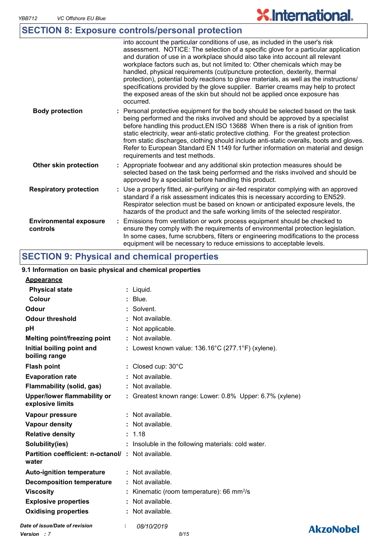# **SECTION 8: Exposure controls/personal protection**

|                                           | into account the particular conditions of use, as included in the user's risk<br>assessment. NOTICE: The selection of a specific glove for a particular application<br>and duration of use in a workplace should also take into account all relevant<br>workplace factors such as, but not limited to: Other chemicals which may be<br>handled, physical requirements (cut/puncture protection, dexterity, thermal<br>protection), potential body reactions to glove materials, as well as the instructions/<br>specifications provided by the glove supplier. Barrier creams may help to protect<br>the exposed areas of the skin but should not be applied once exposure has<br>occurred. |
|-------------------------------------------|---------------------------------------------------------------------------------------------------------------------------------------------------------------------------------------------------------------------------------------------------------------------------------------------------------------------------------------------------------------------------------------------------------------------------------------------------------------------------------------------------------------------------------------------------------------------------------------------------------------------------------------------------------------------------------------------|
| <b>Body protection</b>                    | Personal protective equipment for the body should be selected based on the task<br>being performed and the risks involved and should be approved by a specialist<br>before handling this product. EN ISO 13688 When there is a risk of ignition from<br>static electricity, wear anti-static protective clothing. For the greatest protection<br>from static discharges, clothing should include anti-static overalls, boots and gloves.<br>Refer to European Standard EN 1149 for further information on material and design<br>requirements and test methods.                                                                                                                             |
| Other skin protection                     | : Appropriate footwear and any additional skin protection measures should be<br>selected based on the task being performed and the risks involved and should be<br>approved by a specialist before handling this product.                                                                                                                                                                                                                                                                                                                                                                                                                                                                   |
| <b>Respiratory protection</b>             | : Use a properly fitted, air-purifying or air-fed respirator complying with an approved<br>standard if a risk assessment indicates this is necessary according to EN529.<br>Respirator selection must be based on known or anticipated exposure levels, the<br>hazards of the product and the safe working limits of the selected respirator.                                                                                                                                                                                                                                                                                                                                               |
| <b>Environmental exposure</b><br>controls | Emissions from ventilation or work process equipment should be checked to<br>ensure they comply with the requirements of environmental protection legislation.<br>In some cases, fume scrubbers, filters or engineering modifications to the process<br>equipment will be necessary to reduce emissions to acceptable levels.                                                                                                                                                                                                                                                                                                                                                               |

**X.International.** 

# **SECTION 9: Physical and chemical properties**

### **9.1 Information on basic physical and chemical properties**

| <b>Appearance</b>                                                 |    |                                                              |                  |
|-------------------------------------------------------------------|----|--------------------------------------------------------------|------------------|
| <b>Physical state</b>                                             |    | : Liquid.                                                    |                  |
| <b>Colour</b>                                                     |    | $:$ Blue.                                                    |                  |
| <b>Odour</b>                                                      |    | : Solvent.                                                   |                  |
| <b>Odour threshold</b>                                            |    | $:$ Not available.                                           |                  |
| рH                                                                |    | Not applicable.                                              |                  |
| Melting point/freezing point                                      |    | : Not available.                                             |                  |
| Initial boiling point and<br>boiling range                        |    | : Lowest known value: $136.16^{\circ}$ C (277.1°F) (xylene). |                  |
| <b>Flash point</b>                                                |    | $\therefore$ Closed cup: 30 $^{\circ}$ C                     |                  |
| <b>Evaporation rate</b>                                           |    | Not available.                                               |                  |
| <b>Flammability (solid, gas)</b>                                  |    | : Not available.                                             |                  |
| <b>Upper/lower flammability or</b><br>explosive limits            |    | : Greatest known range: Lower: 0.8% Upper: 6.7% (xylene)     |                  |
| Vapour pressure                                                   |    | $:$ Not available.                                           |                  |
| <b>Vapour density</b>                                             |    | : Not available.                                             |                  |
| <b>Relative density</b>                                           |    | : 1.18                                                       |                  |
| Solubility(ies)                                                   |    | : Insoluble in the following materials: cold water.          |                  |
| <b>Partition coefficient: n-octanol/: Not available.</b><br>water |    |                                                              |                  |
| <b>Auto-ignition temperature</b>                                  |    | $:$ Not available.                                           |                  |
| <b>Decomposition temperature</b>                                  |    | Not available.                                               |                  |
| <b>Viscosity</b>                                                  |    | : Kinematic (room temperature): 66 mm $^{2}/s$               |                  |
| <b>Explosive properties</b>                                       |    | : Not available.                                             |                  |
| <b>Oxidising properties</b>                                       |    | : Not available.                                             |                  |
| Date of issue/Date of revision                                    | ÷. | 08/10/2019                                                   | <b>AkzoNobel</b> |
|                                                                   |    |                                                              |                  |

*Version : 7 8/15*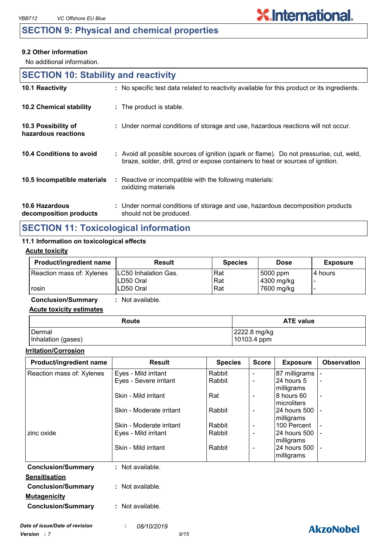## **SECTION 9: Physical and chemical properties**

#### **9.2 Other information**

No additional information.

| <b>SECTION 10: Stability and reactivity</b> |                                                                                                                                                                              |  |  |  |
|---------------------------------------------|------------------------------------------------------------------------------------------------------------------------------------------------------------------------------|--|--|--|
| 10.1 Reactivity                             | : No specific test data related to reactivity available for this product or its ingredients.                                                                                 |  |  |  |
| 10.2 Chemical stability                     | : The product is stable.                                                                                                                                                     |  |  |  |
| 10.3 Possibility of<br>hazardous reactions  | : Under normal conditions of storage and use, hazardous reactions will not occur.                                                                                            |  |  |  |
| 10.4 Conditions to avoid                    | : Avoid all possible sources of ignition (spark or flame). Do not pressurise, cut, weld,<br>braze, solder, drill, grind or expose containers to heat or sources of ignition. |  |  |  |
| 10.5 Incompatible materials                 | Reactive or incompatible with the following materials:<br>÷.<br>oxidizing materials                                                                                          |  |  |  |
| 10.6 Hazardous<br>decomposition products    | : Under normal conditions of storage and use, hazardous decomposition products<br>should not be produced.                                                                    |  |  |  |

# **SECTION 11: Toxicological information**

### **11.1 Information on toxicological effects**

#### **Acute toxicity**

| <b>Product/ingredient name</b> | <b>Result</b>               | <b>Species</b> | <b>Dose</b> | <b>Exposure</b> |
|--------------------------------|-----------------------------|----------------|-------------|-----------------|
| Reaction mass of: Xylenes      | <b>LC50 Inhalation Gas.</b> | Rat            | 5000 ppm    | 14 hours        |
|                                | LD50 Oral                   | Rat            | 4300 mg/kg  |                 |
| rosin                          | LD50 Oral                   | Rat            | 7600 mg/kg  |                 |

**Conclusion/Summary :** Not available.

#### **Acute toxicity estimates**

| Route              | <b>ATE value</b> |  |  |
|--------------------|------------------|--|--|
| <b>I</b> Dermal    | 2222.8 mg/kg     |  |  |
| Inhalation (gases) | 10103.4 ppm      |  |  |

#### **Irritation/Corrosion**

| Product/ingredient name        | <b>Result</b>            | <b>Species</b> | <b>Score</b>                 | <b>Exposure</b>           | <b>Observation</b> |
|--------------------------------|--------------------------|----------------|------------------------------|---------------------------|--------------------|
| Reaction mass of: Xylenes      | Eyes - Mild irritant     | Rabbit         | $\blacksquare$               | 87 milligrams             |                    |
|                                | Eyes - Severe irritant   | Rabbit         | $\blacksquare$               | 24 hours 5                |                    |
|                                |                          |                |                              | milligrams                |                    |
|                                | Skin - Mild irritant     | Rat            | $\blacksquare$               | 8 hours 60                |                    |
|                                |                          |                |                              | microliters               |                    |
|                                | Skin - Moderate irritant | Rabbit         | $\qquad \qquad \blacksquare$ | 24 hours 500              |                    |
|                                | Skin - Moderate irritant | Rabbit         | $\overline{\phantom{a}}$     | milligrams<br>100 Percent |                    |
| zinc oxide                     | Eyes - Mild irritant     | Rabbit         | $\blacksquare$               | 24 hours 500              |                    |
|                                |                          |                |                              | milligrams                |                    |
|                                | Skin - Mild irritant     | Rabbit         | $\blacksquare$               | 24 hours 500              |                    |
|                                |                          |                |                              | milligrams                |                    |
| <b>Conclusion/Summary</b>      | : Not available.         |                |                              |                           |                    |
| <b>Sensitisation</b>           |                          |                |                              |                           |                    |
| <b>Conclusion/Summary</b>      | : Not available.         |                |                              |                           |                    |
| <b>Mutagenicity</b>            |                          |                |                              |                           |                    |
| <b>Conclusion/Summary</b>      | : Not available.         |                |                              |                           |                    |
|                                |                          |                |                              |                           |                    |
| Date of issue/Date of revision | 08/10/2019<br>÷.         |                |                              |                           | <b>AkzoNobel</b>   |
|                                |                          |                |                              |                           |                    |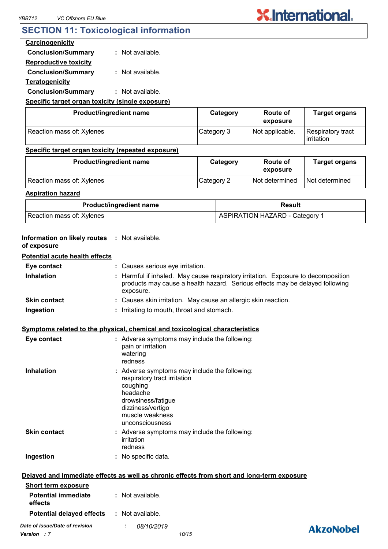### **SECTION 11: Toxicological information**

#### **Carcinogenicity**

**Conclusion/Summary :** Not available.

**Reproductive toxicity Conclusion/Summary :** Not available.

**Teratogenicity**

**Conclusion/Summary :** Not available.

### **Specific target organ toxicity (single exposure)**

| Product/ingredient name   | Category   | Route of<br>exposure | <b>Target organs</b>            |
|---------------------------|------------|----------------------|---------------------------------|
| Reaction mass of: Xylenes | Category 3 | Not applicable.      | Respiratory tract<br>irritation |

#### **Specific target organ toxicity (repeated exposure)**

| Product/ingredient name   | Category   | Route of<br>exposure | <b>Target organs</b> |
|---------------------------|------------|----------------------|----------------------|
| Reaction mass of: Xylenes | Category 2 | Not determined       | Not determined       |

#### **Aspiration hazard**

| <b>Product/ingredient name</b> | Result                                |
|--------------------------------|---------------------------------------|
| Reaction mass of: Xylenes      | <b>ASPIRATION HAZARD - Category 1</b> |

| Information on likely routes : Not available.<br>of exposure |                                                                                                                                                                                        |                  |
|--------------------------------------------------------------|----------------------------------------------------------------------------------------------------------------------------------------------------------------------------------------|------------------|
| <b>Potential acute health effects</b>                        |                                                                                                                                                                                        |                  |
| Eye contact                                                  | : Causes serious eye irritation.                                                                                                                                                       |                  |
| Inhalation                                                   | : Harmful if inhaled. May cause respiratory irritation. Exposure to decomposition<br>products may cause a health hazard. Serious effects may be delayed following<br>exposure.         |                  |
| <b>Skin contact</b>                                          | : Causes skin irritation. May cause an allergic skin reaction.                                                                                                                         |                  |
| Ingestion                                                    | : Irritating to mouth, throat and stomach.                                                                                                                                             |                  |
|                                                              | Symptoms related to the physical, chemical and toxicological characteristics                                                                                                           |                  |
| Eye contact                                                  | : Adverse symptoms may include the following:<br>pain or irritation<br>watering<br>redness                                                                                             |                  |
| <b>Inhalation</b>                                            | : Adverse symptoms may include the following:<br>respiratory tract irritation<br>coughing<br>headache<br>drowsiness/fatigue<br>dizziness/vertigo<br>muscle weakness<br>unconsciousness |                  |
| <b>Skin contact</b>                                          | : Adverse symptoms may include the following:<br>irritation<br>redness                                                                                                                 |                  |
| Ingestion                                                    | : No specific data.                                                                                                                                                                    |                  |
|                                                              | Delayed and immediate effects as well as chronic effects from short and long-term exposure                                                                                             |                  |
| <b>Short term exposure</b>                                   |                                                                                                                                                                                        |                  |
| <b>Potential immediate</b><br>effects                        | : Not available.                                                                                                                                                                       |                  |
| <b>Potential delayed effects</b>                             | : Not available.                                                                                                                                                                       |                  |
| Date of issue/Date of revision<br><b>Version</b> : 7         | 08/10/2019<br>10/15                                                                                                                                                                    | <b>AkzoNobel</b> |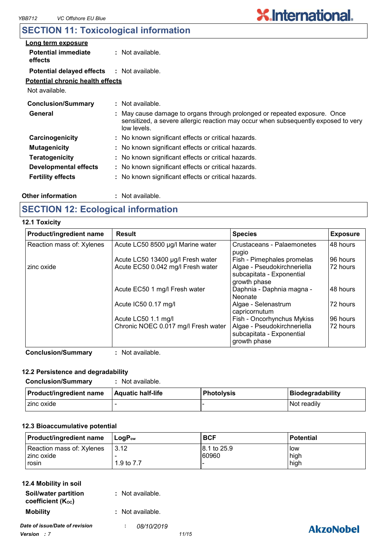# **SECTION 11: Toxicological information**

| Long term exposure                                |                                                                                                                                                                              |  |
|---------------------------------------------------|------------------------------------------------------------------------------------------------------------------------------------------------------------------------------|--|
| <b>Potential immediate</b><br>effects             | $:$ Not available.                                                                                                                                                           |  |
| <b>Potential delayed effects : Not available.</b> |                                                                                                                                                                              |  |
| <b>Potential chronic health effects</b>           |                                                                                                                                                                              |  |
| Not available.                                    |                                                                                                                                                                              |  |
| <b>Conclusion/Summary</b>                         | : Not available.                                                                                                                                                             |  |
| General                                           | May cause damage to organs through prolonged or repeated exposure. Once<br>sensitized, a severe allergic reaction may occur when subsequently exposed to very<br>low levels. |  |
| Carcinogenicity                                   | : No known significant effects or critical hazards.                                                                                                                          |  |
| <b>Mutagenicity</b>                               | : No known significant effects or critical hazards.                                                                                                                          |  |
| <b>Teratogenicity</b>                             | : No known significant effects or critical hazards.                                                                                                                          |  |
| <b>Developmental effects</b>                      | : No known significant effects or critical hazards.                                                                                                                          |  |
| <b>Fertility effects</b>                          | : No known significant effects or critical hazards.                                                                                                                          |  |

#### **Other information :**

: Not available.

# **SECTION 12: Ecological information**

#### **12.1 Toxicity**

| Product/ingredient name   | <b>Result</b>                       | <b>Species</b>                                                           | <b>Exposure</b> |
|---------------------------|-------------------------------------|--------------------------------------------------------------------------|-----------------|
| Reaction mass of: Xylenes | Acute LC50 8500 µg/l Marine water   | Crustaceans - Palaemonetes<br>pugio                                      | 48 hours        |
|                           | Acute LC50 13400 µg/l Fresh water   | Fish - Pimephales promelas                                               | 96 hours        |
| zinc oxide                | Acute EC50 0.042 mg/l Fresh water   | Algae - Pseudokirchneriella<br>subcapitata - Exponential<br>growth phase | 72 hours        |
|                           | Acute EC50 1 mg/l Fresh water       | Daphnia - Daphnia magna -<br>Neonate                                     | 48 hours        |
|                           | Acute IC50 0.17 mg/l                | Algae - Selenastrum<br>capricornutum                                     | 72 hours        |
|                           | Acute LC50 1.1 mg/l                 | Fish - Oncorhynchus Mykiss                                               | 196 hours       |
|                           | Chronic NOEC 0.017 mg/l Fresh water | Algae - Pseudokirchneriella<br>subcapitata - Exponential<br>growth phase | 72 hours        |

**Conclusion/Summary :** Not available.

#### **12.2 Persistence and degradability**

| <b>Conclusion/Summary</b>      | Not available.    |                   |                         |
|--------------------------------|-------------------|-------------------|-------------------------|
| <b>Product/ingredient name</b> | Aquatic half-life | <b>Photolysis</b> | <b>Biodegradability</b> |
| I zinc oxide                   |                   |                   | Not readily             |

### **12.3 Bioaccumulative potential**

| <b>Product/ingredient name</b>                     | $ $ LogP <sub>ow</sub> | <b>BCF</b>            | <b>Potential</b>            |
|----------------------------------------------------|------------------------|-----------------------|-----------------------------|
| Reaction mass of: Xylenes<br>l zinc oxide<br>rosin | 13.12<br>1.9 to 7.7    | 18.1 to 25.9<br>60960 | <b>I</b> ow<br>high<br>high |

| 12.4 Mobility in soil                     |                  |
|-------------------------------------------|------------------|
| Soil/water partition<br>coefficient (Koc) | : Not available. |
| <b>Mobility</b>                           | : Not available. |
| Date of issue/Date of revision            | 08/10/2019       |
| Version 17                                | 11/15            |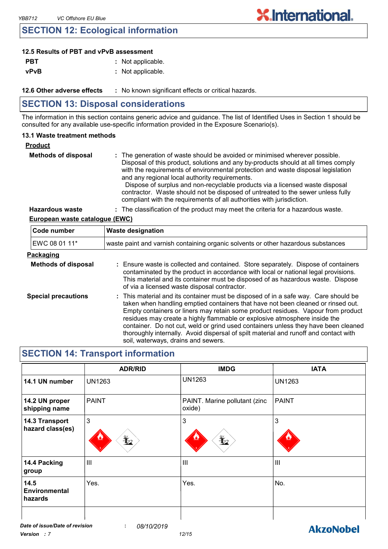### **SECTION 12: Ecological information**

### **12.5 Results of PBT and vPvB assessment**

| <b>PBT</b>  | : Not applicable. |
|-------------|-------------------|
| <b>vPvB</b> | : Not applicable. |

**12.6 Other adverse effects** : No known significant effects or critical hazards.

# **SECTION 13: Disposal considerations**

The information in this section contains generic advice and guidance. The list of Identified Uses in Section 1 should be consulted for any available use-specific information provided in the Exposure Scenario(s).

#### **13.1 Waste treatment methods**

| Product |
|---------|
|---------|

| <b>Methods of disposal</b> | : The generation of waste should be avoided or minimised wherever possible.<br>Disposal of this product, solutions and any by-products should at all times comply<br>with the requirements of environmental protection and waste disposal legislation<br>and any regional local authority requirements.<br>Dispose of surplus and non-recyclable products via a licensed waste disposal<br>contractor. Waste should not be disposed of untreated to the sewer unless fully<br>compliant with the requirements of all authorities with jurisdiction. |
|----------------------------|-----------------------------------------------------------------------------------------------------------------------------------------------------------------------------------------------------------------------------------------------------------------------------------------------------------------------------------------------------------------------------------------------------------------------------------------------------------------------------------------------------------------------------------------------------|
| Hoperdaus woote            | . The eleccification of the product mourneed the exiteria for a horordous worte                                                                                                                                                                                                                                                                                                                                                                                                                                                                     |

**Hazardous waste :** The classification of the product may meet the criteria for a hazardous waste.

**X.International.** 

#### **European waste catalogue (EWC)**

| Code number                | <b>Waste designation</b>                                                                                                                                                                                                                                                                                                                                                                                                                                                                                                                                      |  |  |
|----------------------------|---------------------------------------------------------------------------------------------------------------------------------------------------------------------------------------------------------------------------------------------------------------------------------------------------------------------------------------------------------------------------------------------------------------------------------------------------------------------------------------------------------------------------------------------------------------|--|--|
| EWC 08 01 11*              | waste paint and varnish containing organic solvents or other hazardous substances                                                                                                                                                                                                                                                                                                                                                                                                                                                                             |  |  |
| Packaging                  |                                                                                                                                                                                                                                                                                                                                                                                                                                                                                                                                                               |  |  |
| <b>Methods of disposal</b> | : Ensure waste is collected and contained. Store separately. Dispose of containers<br>contaminated by the product in accordance with local or national legal provisions.<br>This material and its container must be disposed of as hazardous waste. Dispose<br>of via a licensed waste disposal contractor.                                                                                                                                                                                                                                                   |  |  |
| <b>Special precautions</b> | : This material and its container must be disposed of in a safe way. Care should be<br>taken when handling emptied containers that have not been cleaned or rinsed out.<br>Empty containers or liners may retain some product residues. Vapour from product<br>residues may create a highly flammable or explosive atmosphere inside the<br>container. Do not cut, weld or grind used containers unless they have been cleaned<br>thoroughly internally. Avoid dispersal of spilt material and runoff and contact with<br>soil, waterways, drains and sewers. |  |  |

# **SECTION 14: Transport information**

|                                         | <b>ADR/RID</b>               | <b>IMDG</b>                                        | <b>IATA</b>     |
|-----------------------------------------|------------------------------|----------------------------------------------------|-----------------|
| 14.1 UN number                          | <b>UN1263</b>                | <b>UN1263</b>                                      | <b>UN1263</b>   |
| 14.2 UN proper<br>shipping name         | <b>PAINT</b>                 | PAINT. Marine pollutant (zinc<br>oxide)            | <b>PAINT</b>    |
| 14.3 Transport<br>hazard class(es)      | $\overline{3}$<br>$\bigstar$ | 3<br>$\mathbf{\mathbf{\underline{\mathbf{\Psi}}}}$ | 3<br><u>ينې</u> |
| 14.4 Packing<br>group                   | $\overline{\mathsf{III}}$    | $\mathbf{III}$                                     | III             |
| 14.5<br><b>Environmental</b><br>hazards | Yes.                         | Yes.                                               | No.             |
|                                         |                              |                                                    |                 |

**AkzoNobel**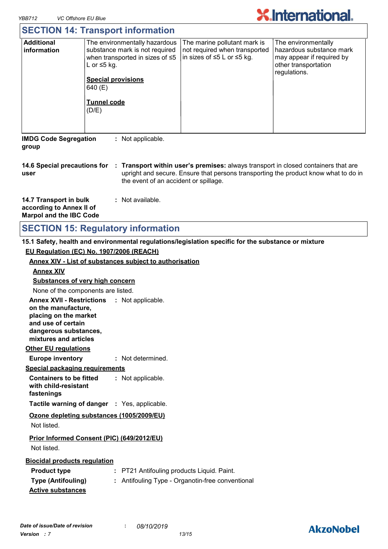

|                                                                                                                                                                                                                                                            | <b>SECTION 14: Transport information</b>                                                                                                                                                       |                                                                                                         |                                                                                                                      |  |
|------------------------------------------------------------------------------------------------------------------------------------------------------------------------------------------------------------------------------------------------------------|------------------------------------------------------------------------------------------------------------------------------------------------------------------------------------------------|---------------------------------------------------------------------------------------------------------|----------------------------------------------------------------------------------------------------------------------|--|
| <b>Additional</b><br>information                                                                                                                                                                                                                           | The environmentally hazardous<br>substance mark is not required<br>when transported in sizes of ≤5<br>L or $\leq$ 5 kg.<br><b>Special provisions</b><br>640 (E)<br><b>Tunnel code</b><br>(D/E) | The marine pollutant mark is<br>not required when transported<br>in sizes of $\leq 5$ L or $\leq 5$ kg. | The environmentally<br>hazardous substance mark<br>may appear if required by<br>other transportation<br>regulations. |  |
| <b>IMDG Code Segregation</b><br>: Not applicable.<br>group                                                                                                                                                                                                 |                                                                                                                                                                                                |                                                                                                         |                                                                                                                      |  |
| 14.6 Special precautions for<br>: Transport within user's premises: always transport in closed containers that are<br>upright and secure. Ensure that persons transporting the product know what to do in<br>user<br>the event of an accident or spillage. |                                                                                                                                                                                                |                                                                                                         |                                                                                                                      |  |
| 14.7 Transport in bulk<br>according to Annex II of<br><b>Marpol and the IBC Code</b>                                                                                                                                                                       | : Not available.                                                                                                                                                                               |                                                                                                         |                                                                                                                      |  |
|                                                                                                                                                                                                                                                            | <b>SECTION 15: Regulatory information</b>                                                                                                                                                      |                                                                                                         |                                                                                                                      |  |

# **SECTION 15: Regulatory information**

### **15.1 Safety, health and environmental regulations/legislation specific for the substance or mixture**

**EU Regulation (EC) No. 1907/2006 (REACH)**

| <b>Annex XIV - List of substances subject to authorisation</b>       |                                                  |  |  |  |
|----------------------------------------------------------------------|--------------------------------------------------|--|--|--|
| <b>Annex XIV</b>                                                     |                                                  |  |  |  |
| <b>Substances of very high concern</b>                               |                                                  |  |  |  |
| None of the components are listed.                                   |                                                  |  |  |  |
| Annex XVII - Restrictions : Not applicable.                          |                                                  |  |  |  |
| on the manufacture,<br>placing on the market                         |                                                  |  |  |  |
| and use of certain                                                   |                                                  |  |  |  |
| dangerous substances,                                                |                                                  |  |  |  |
| mixtures and articles                                                |                                                  |  |  |  |
| <b>Other EU regulations</b>                                          |                                                  |  |  |  |
| <b>Europe inventory</b>                                              | : Not determined.                                |  |  |  |
| <b>Special packaging requirements</b>                                |                                                  |  |  |  |
| <b>Containers to be fitted</b><br>with child-resistant<br>fastenings | : Not applicable.                                |  |  |  |
| <b>Tactile warning of danger : Yes, applicable.</b>                  |                                                  |  |  |  |
| Ozone depleting substances (1005/2009/EU)                            |                                                  |  |  |  |
| Not listed.                                                          |                                                  |  |  |  |
| Prior Informed Consent (PIC) (649/2012/EU)                           |                                                  |  |  |  |
| Not listed.                                                          |                                                  |  |  |  |
| <b>Biocidal products regulation</b>                                  |                                                  |  |  |  |
| <b>Product type</b>                                                  | : PT21 Antifouling products Liquid. Paint.       |  |  |  |
| <b>Type (Antifouling)</b>                                            | : Antifouling Type - Organotin-free conventional |  |  |  |
| <b>Active substances</b>                                             |                                                  |  |  |  |
|                                                                      |                                                  |  |  |  |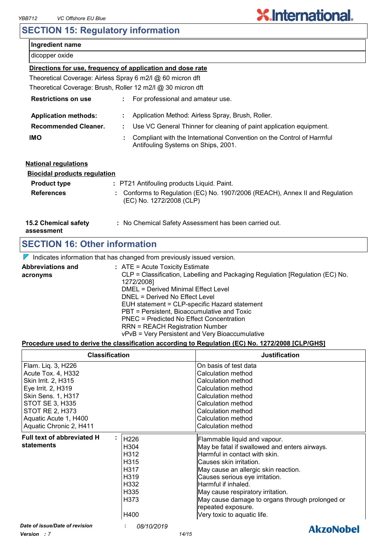# **SECTION 15: Regulatory information**

| Ingredient name                                            |                                                                                                              |  |  |  |  |
|------------------------------------------------------------|--------------------------------------------------------------------------------------------------------------|--|--|--|--|
| dicopper oxide                                             |                                                                                                              |  |  |  |  |
| Directions for use, frequency of application and dose rate |                                                                                                              |  |  |  |  |
|                                                            | Theoretical Coverage: Airless Spray 6 m2/l @ 60 micron dft                                                   |  |  |  |  |
|                                                            | Theoretical Coverage: Brush, Roller 12 m2/l @ 30 micron dft                                                  |  |  |  |  |
| <b>Restrictions on use</b>                                 | For professional and amateur use.                                                                            |  |  |  |  |
| <b>Application methods:</b>                                | Application Method: Airless Spray, Brush, Roller.                                                            |  |  |  |  |
| <b>Recommended Cleaner.</b>                                | Use VC General Thinner for cleaning of paint application equipment.                                          |  |  |  |  |
| <b>IMO</b>                                                 | Compliant with the International Convention on the Control of Harmful<br>Antifouling Systems on Ships, 2001. |  |  |  |  |
| <b>National regulations</b>                                |                                                                                                              |  |  |  |  |
| <b>Biocidal products requlation</b>                        |                                                                                                              |  |  |  |  |
| <b>Product type</b>                                        | : PT21 Antifouling products Liquid. Paint.                                                                   |  |  |  |  |
| <b>References</b>                                          | Conforms to Regulation (EC) No. 1907/2006 (REACH), Annex II and Regulation<br>(EC) No. 1272/2008 (CLP)       |  |  |  |  |
| <b>15.2 Chemical safety</b><br>assessment                  | : No Chemical Safety Assessment has been carried out.                                                        |  |  |  |  |
| <b>SECTION 16: Other information</b>                       |                                                                                                              |  |  |  |  |
|                                                            |                                                                                                              |  |  |  |  |

 $\nabla$  Indicates information that has changed from previously issued version.

| <b>Abbreviations and</b> | : ATE = Acute Toxicity Estimate                                               |
|--------------------------|-------------------------------------------------------------------------------|
| acronyms                 | CLP = Classification, Labelling and Packaging Regulation [Regulation (EC) No. |
|                          | 1272/2008]                                                                    |
|                          | <b>DMEL = Derived Minimal Effect Level</b>                                    |
|                          | DNEL = Derived No Effect Level                                                |
|                          | EUH statement = CLP-specific Hazard statement                                 |
|                          | PBT = Persistent, Bioaccumulative and Toxic                                   |
|                          | PNEC = Predicted No Effect Concentration                                      |
|                          | <b>RRN = REACH Registration Number</b>                                        |
|                          | vPvB = Very Persistent and Very Bioaccumulative                               |

#### **Procedure used to derive the classification according to Regulation (EC) No. 1272/2008 [CLP/GHS]**

| <b>Classification</b>           |                   | <b>Justification</b>                                                  |
|---------------------------------|-------------------|-----------------------------------------------------------------------|
| Flam. Liq. 3, H226              |                   | On basis of test data                                                 |
| Acute Tox. 4, H332              |                   | Calculation method                                                    |
| Skin Irrit. 2, H315             |                   | Calculation method                                                    |
| Eye Irrit. 2, H319              |                   | Calculation method                                                    |
| <b>Skin Sens. 1, H317</b>       |                   | Calculation method                                                    |
| <b>STOT SE 3, H335</b>          |                   | Calculation method                                                    |
| <b>STOT RE 2, H373</b>          |                   | Calculation method                                                    |
| Aquatic Acute 1, H400           |                   | Calculation method                                                    |
| Aquatic Chronic 2, H411         |                   | Calculation method                                                    |
| Full text of abbreviated H<br>٠ | H226              | Flammable liquid and vapour.                                          |
| statements                      | H304              | May be fatal if swallowed and enters airways.                         |
|                                 | H <sub>3</sub> 12 | Harmful in contact with skin.                                         |
|                                 | H <sub>315</sub>  | Causes skin irritation.                                               |
|                                 | H317              | May cause an allergic skin reaction.                                  |
|                                 | H <sub>319</sub>  | Causes serious eye irritation.                                        |
|                                 | H332              | Harmful if inhaled.                                                   |
|                                 | H335              | May cause respiratory irritation.                                     |
|                                 | H373              | May cause damage to organs through prolonged or<br>repeated exposure. |
|                                 | H400              | Very toxic to aquatic life.                                           |
| Date of issue/Date of revision  | 08/10/2019        | <i><b>AlizaNabel</b></i>                                              |

*Version : 7 14/15*



**X.International.**